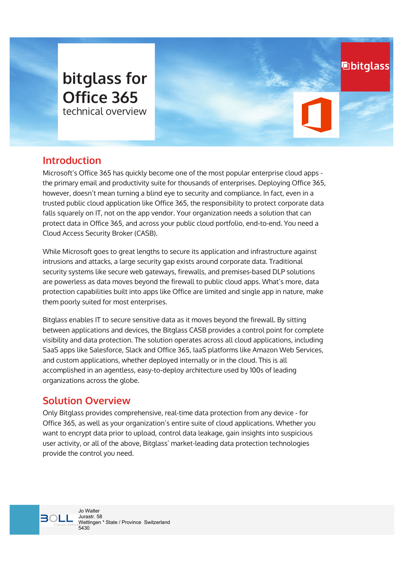# bitglass for **Office 365** technical overview

## **Introduction**

Microsoft's Office 365 has quickly become one of the most popular enterprise cloud apps the primary email and productivity suite for thousands of enterprises. Deploying Office 365, however, doesn't mean turning a blind eye to security and compliance. In fact, even in a trusted public cloud application like Office 365, the responsibility to protect corporate data falls squarely on IT, not on the app vendor. Your organization needs a solution that can protect data in Office 365, and across your public cloud portfolio, end-to-end. You need a Cloud Access Security Broker (CASB).

**hbitglass** 

While Microsoft goes to great lengths to secure its application and infrastructure against intrusions and attacks, a large security gap exists around corporate data. Traditional security systems like secure web gateways, firewalls, and premises-based DLP solutions are powerless as data moves beyond the firewall to public cloud apps. What's more, data protection capabilities built into apps like Office are limited and single app in nature, make them poorly suited for most enterprises.

Bitglass enables IT to secure sensitive data as it moves beyond the firewall. By sitting between applications and devices, the Bitglass CASB provides a control point for complete visibility and data protection. The solution operates across all cloud applications, including SaaS apps like Salesforce, Slack and Office 365, IaaS platforms like Amazon Web Services, and custom applications, whether deployed internally or in the cloud. This is all accomplished in an agentless, easy-to-deploy architecture used by 100s of leading organizations across the globe.

### Solution Overview

Only Bitglass provides comprehensive, real-time data protection from any device - for Office 365, as well as your organization's entire suite of cloud applications. Whether you want to encrypt data prior to upload, control data leakage, gain insights into suspicious user activity, or all of the above, Bitglass' market-leading data protection technologies provide the control you need.

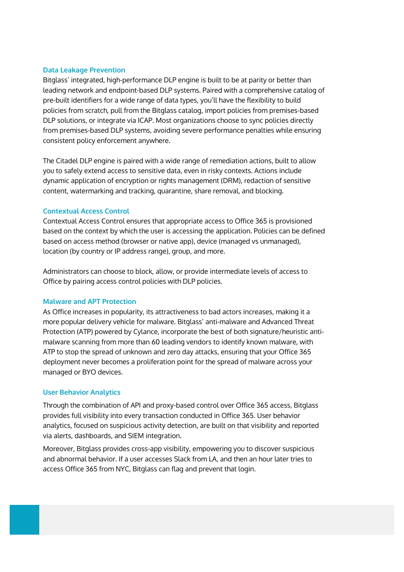#### **Data Leakage Prevention**

Bitglass' integrated, high-performance DLP engine is built to be at parity or better than leading network and endpoint-based DLP systems. Paired with a comprehensive catalog of pre-built identifiers for a wide range of data types, you'll have the flexibility to build policies from scratch, pull from the Bitglass catalog, import policies from premises-based DLP solutions, or integrate via ICAP. Most organizations choose to sync policies directly from premises-based DLP systems, avoiding severe performance penalties while ensuring consistent policy enforcement anywhere.

The Citadel DLP engine is paired with a wide range of remediation actions, built to allow you to safely extend access to sensitive data, even in risky contexts. Actions include dynamic application of encryption or rights management (DRM), redaction of sensitive content, watermarking and tracking, quarantine, share removal, and blocking.

#### **Contextual Access Control**

Contextual Access Control ensures that appropriate access to Office 365 is provisioned based on the context by which the user is accessing the application. Policies can be defined based on access method (browser or native app), device (managed vs unmanaged), location (by country or IP address range), group, and more.

Administrators can choose to block, allow, or provide intermediate levels of access to Office by pairing access control policies with DLP policies.

#### **Malware and APT Protection**

As Office increases in popularity, its attractiveness to bad actors increases, making it a more popular delivery vehicle for malware. Bitglass' anti-malware and Advanced Threat Protection (ATP) powered by Cylance, incorporate the best of both signature/heuristic antimalware scanning from more than 60 leading vendors to identify known malware, with ATP to stop the spread of unknown and zero day attacks, ensuring that your Office 365 deployment never becomes a proliferation point for the spread of malware across your managed or BYO devices.

#### **User Behavior Analytics**

Through the combination of API and proxy-based control over Office 365 access, Bitglass provides full visibility into every transaction conducted in Office 365. User behavior analytics, focused on suspicious activity detection, are built on that visibility and reported via alerts, dashboards, and SIEM integration.

Moreover, Bitglass provides cross-app visibility, empowering you to discover suspicious and abnormal behavior. If a user accesses Slack from LA, and then an hour later tries to access Office 365 from NYC, Bitglass can flag and prevent that login.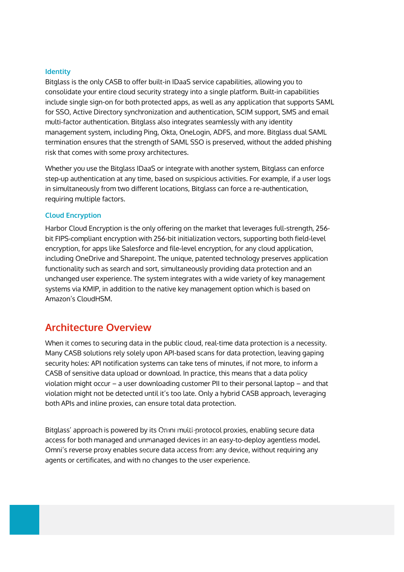#### **Identity**

Bitglass is the only CASB to offer built-in IDaaS service capabilities, allowing you to consolidate your entire cloud security strategy into a single platform. Built-in capabilities include single sign-on for both protected apps, as well as any application that supports SAML for SSO, Active Directory synchronization and authentication, SCIM support, SMS and email multi-factor authentication. Bitglass also integrates seamlessly with any identity management system, including Ping, Okta, OneLogin, ADFS, and more. Bitglass dual SAML termination ensures that the strength of SAML SSO is preserved, without the added phishing risk that comes with some proxy architectures.

Whether you use the Bitglass IDaaS or integrate with another system, Bitglass can enforce step-up authentication at any time, based on suspicious activities. For example, if a user logs in simultaneously from two different locations, Bitglass can force a re-authentication, requiring multiple factors.

#### **Cloud Encryption**

Harbor Cloud Encryption is the only offering on the market that leverages full-strength, 256bit FIPS-compliant encryption with 256-bit initialization vectors, supporting both field-level encryption, for apps like Salesforce and file-level encryption, for any cloud application, including OneDrive and Sharepoint. The unique, patented technology preserves application functionality such as search and sort, simultaneously providing data protection and an unchanged user experience. The system integrates with a wide variety of key management systems via KMIP, in addition to the native key management option which is based on Amazon's CloudHSM.

### **Architecture Overview**

When it comes to securing data in the public cloud, real-time data protection is a necessity. Many CASB solutions rely solely upon API-based scans for data protection, leaving gaping security holes: API notification systems can take tens of minutes, if not more, to inform a CASB of sensitive data upload or download. In practice, this means that a data policy violation might occur  $-$  a user downloading customer PII to their personal laptop  $-$  and that violation might not be detected until it's too late. Only a hybrid CASB approach, leveraging both APIs and inline proxies, can ensure total data protection.

Bitglass' approach is powered by its Omni multi-protocol proxies, enabling secure data access for both managed and unmanaged devices in an easy-to-deploy agentless model. Omni's reverse proxy enables secure data access from any device, without requiring any agents or certificates, and with no changes to the user experience.